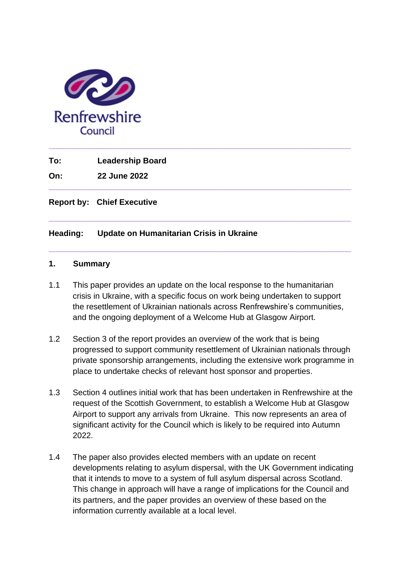

**To: Leadership Board**

**On: 22 June 2022**

**Report by: Chief Executive**

# **Heading: Update on Humanitarian Crisis in Ukraine**

#### **1. Summary**

1.1 This paper provides an update on the local response to the humanitarian crisis in Ukraine, with a specific focus on work being undertaken to support the resettlement of Ukrainian nationals across Renfrewshire's communities, and the ongoing deployment of a Welcome Hub at Glasgow Airport.

**\_\_\_\_\_\_\_\_\_\_\_\_\_\_\_\_\_\_\_\_\_\_\_\_\_\_\_\_\_\_\_\_\_\_\_\_\_\_\_\_\_\_\_\_\_\_\_\_\_\_\_\_\_\_\_\_\_\_\_\_\_\_\_\_\_\_\_**

**\_\_\_\_\_\_\_\_\_\_\_\_\_\_\_\_\_\_\_\_\_\_\_\_\_\_\_\_\_\_\_\_\_\_\_\_\_\_\_\_\_\_\_\_\_\_\_\_\_\_\_\_\_\_\_\_\_\_\_\_\_\_\_\_\_\_\_**

**\_\_\_\_\_\_\_\_\_\_\_\_\_\_\_\_\_\_\_\_\_\_\_\_\_\_\_\_\_\_\_\_\_\_\_\_\_\_\_\_\_\_\_\_\_\_\_\_\_\_\_\_\_\_\_\_\_\_\_\_\_\_\_\_\_\_\_**

**\_\_\_\_\_\_\_\_\_\_\_\_\_\_\_\_\_\_\_\_\_\_\_\_\_\_\_\_\_\_\_\_\_\_\_\_\_\_\_\_\_\_\_\_\_\_\_\_\_\_\_\_\_\_\_\_\_\_\_\_\_\_\_\_\_\_\_** 

- 1.2 Section 3 of the report provides an overview of the work that is being progressed to support community resettlement of Ukrainian nationals through private sponsorship arrangements, including the extensive work programme in place to undertake checks of relevant host sponsor and properties.
- 1.3 Section 4 outlines initial work that has been undertaken in Renfrewshire at the request of the Scottish Government, to establish a Welcome Hub at Glasgow Airport to support any arrivals from Ukraine. This now represents an area of significant activity for the Council which is likely to be required into Autumn 2022.
- 1.4 The paper also provides elected members with an update on recent developments relating to asylum dispersal, with the UK Government indicating that it intends to move to a system of full asylum dispersal across Scotland. This change in approach will have a range of implications for the Council and its partners, and the paper provides an overview of these based on the information currently available at a local level.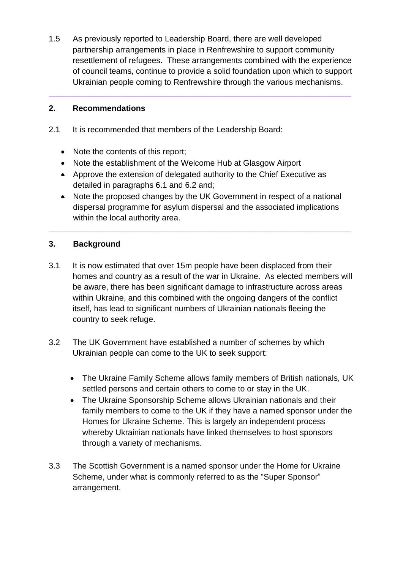1.5 As previously reported to Leadership Board, there are well developed partnership arrangements in place in Renfrewshire to support community resettlement of refugees. These arrangements combined with the experience of council teams, continue to provide a solid foundation upon which to support Ukrainian people coming to Renfrewshire through the various mechanisms.

**\_\_\_\_\_\_\_\_\_\_\_\_\_\_\_\_\_\_\_\_\_\_\_\_\_\_\_\_\_\_\_\_\_\_\_\_\_\_\_\_\_\_\_\_\_\_\_\_\_\_\_\_\_\_\_\_\_\_\_\_\_\_\_\_\_\_\_** 

# **2. Recommendations**

- 2.1 It is recommended that members of the Leadership Board:
	- Note the contents of this report;
	- Note the establishment of the Welcome Hub at Glasgow Airport
	- Approve the extension of delegated authority to the Chief Executive as detailed in paragraphs 6.1 and 6.2 and;
	- Note the proposed changes by the UK Government in respect of a national dispersal programme for asylum dispersal and the associated implications within the local authority area.

**\_\_\_\_\_\_\_\_\_\_\_\_\_\_\_\_\_\_\_\_\_\_\_\_\_\_\_\_\_\_\_\_\_\_\_\_\_\_\_\_\_\_\_\_\_\_\_\_\_\_\_\_\_\_\_\_\_\_\_\_\_\_\_\_\_\_\_** 

# **3. Background**

- 3.1 It is now estimated that over 15m people have been displaced from their homes and country as a result of the war in Ukraine. As elected members will be aware, there has been significant damage to infrastructure across areas within Ukraine, and this combined with the ongoing dangers of the conflict itself, has lead to significant numbers of Ukrainian nationals fleeing the country to seek refuge.
- 3.2 The UK Government have established a number of schemes by which Ukrainian people can come to the UK to seek support:
	- The Ukraine Family Scheme allows family members of British nationals, UK settled persons and certain others to come to or stay in the UK.
	- The Ukraine Sponsorship Scheme allows Ukrainian nationals and their family members to come to the UK if they have a named sponsor under the Homes for Ukraine Scheme. This is largely an independent process whereby Ukrainian nationals have linked themselves to host sponsors through a variety of mechanisms.
- 3.3 The Scottish Government is a named sponsor under the Home for Ukraine Scheme, under what is commonly referred to as the "Super Sponsor" arrangement.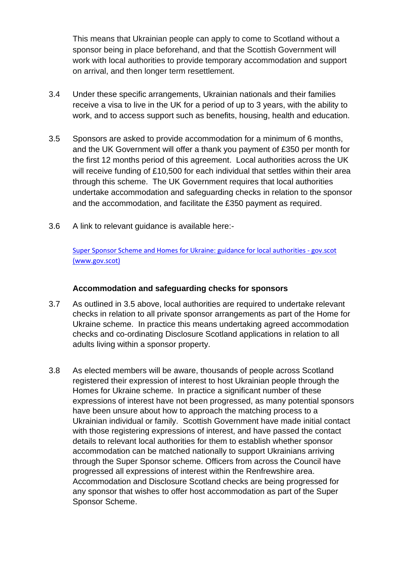This means that Ukrainian people can apply to come to Scotland without a sponsor being in place beforehand, and that the Scottish Government will work with local authorities to provide temporary accommodation and support on arrival, and then longer term resettlement.

- 3.4 Under these specific arrangements, Ukrainian nationals and their families receive a visa to live in the UK for a period of up to 3 years, with the ability to work, and to access support such as benefits, housing, health and education.
- 3.5 Sponsors are asked to provide accommodation for a minimum of 6 months, and the UK Government will offer a thank you payment of £350 per month for the first 12 months period of this agreement. Local authorities across the UK will receive funding of £10,500 for each individual that settles within their area through this scheme. The UK Government requires that local authorities undertake accommodation and safeguarding checks in relation to the sponsor and the accommodation, and facilitate the £350 payment as required.
- 3.6 A link to relevant guidance is available here:-

[Super Sponsor Scheme and Homes for Ukraine: guidance for local authorities -](https://www.gov.scot/publications/super-sponsor-scheme-and-homes-for-ukraine-guidance-for-local-authorities/) gov.scot [\(www.gov.scot\)](https://www.gov.scot/publications/super-sponsor-scheme-and-homes-for-ukraine-guidance-for-local-authorities/)

### **Accommodation and safeguarding checks for sponsors**

- 3.7 As outlined in 3.5 above, local authorities are required to undertake relevant checks in relation to all private sponsor arrangements as part of the Home for Ukraine scheme. In practice this means undertaking agreed accommodation checks and co-ordinating Disclosure Scotland applications in relation to all adults living within a sponsor property.
- 3.8 As elected members will be aware, thousands of people across Scotland registered their expression of interest to host Ukrainian people through the Homes for Ukraine scheme. In practice a significant number of these expressions of interest have not been progressed, as many potential sponsors have been unsure about how to approach the matching process to a Ukrainian individual or family. Scottish Government have made initial contact with those registering expressions of interest, and have passed the contact details to relevant local authorities for them to establish whether sponsor accommodation can be matched nationally to support Ukrainians arriving through the Super Sponsor scheme. Officers from across the Council have progressed all expressions of interest within the Renfrewshire area. Accommodation and Disclosure Scotland checks are being progressed for any sponsor that wishes to offer host accommodation as part of the Super Sponsor Scheme.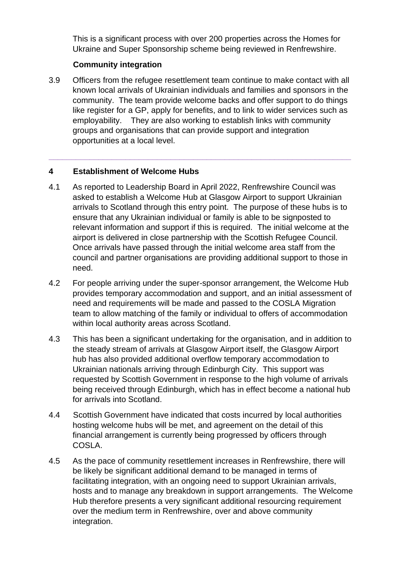This is a significant process with over 200 properties across the Homes for Ukraine and Super Sponsorship scheme being reviewed in Renfrewshire.

# **Community integration**

3.9 Officers from the refugee resettlement team continue to make contact with all known local arrivals of Ukrainian individuals and families and sponsors in the community. The team provide welcome backs and offer support to do things like register for a GP, apply for benefits, and to link to wider services such as employability. They are also working to establish links with community groups and organisations that can provide support and integration opportunities at a local level.

**\_\_\_\_\_\_\_\_\_\_\_\_\_\_\_\_\_\_\_\_\_\_\_\_\_\_\_\_\_\_\_\_\_\_\_\_\_\_\_\_\_\_\_\_\_\_\_\_\_\_\_\_\_\_\_\_\_\_\_\_\_\_\_\_\_\_\_** 

# **4 Establishment of Welcome Hubs**

- 4.1 As reported to Leadership Board in April 2022, Renfrewshire Council was asked to establish a Welcome Hub at Glasgow Airport to support Ukrainian arrivals to Scotland through this entry point. The purpose of these hubs is to ensure that any Ukrainian individual or family is able to be signposted to relevant information and support if this is required. The initial welcome at the airport is delivered in close partnership with the Scottish Refugee Council. Once arrivals have passed through the initial welcome area staff from the council and partner organisations are providing additional support to those in need.
- 4.2 For people arriving under the super-sponsor arrangement, the Welcome Hub provides temporary accommodation and support, and an initial assessment of need and requirements will be made and passed to the COSLA Migration team to allow matching of the family or individual to offers of accommodation within local authority areas across Scotland.
- 4.3 This has been a significant undertaking for the organisation, and in addition to the steady stream of arrivals at Glasgow Airport itself, the Glasgow Airport hub has also provided additional overflow temporary accommodation to Ukrainian nationals arriving through Edinburgh City. This support was requested by Scottish Government in response to the high volume of arrivals being received through Edinburgh, which has in effect become a national hub for arrivals into Scotland.
- 4.4 Scottish Government have indicated that costs incurred by local authorities hosting welcome hubs will be met, and agreement on the detail of this financial arrangement is currently being progressed by officers through COSLA.
- 4.5 As the pace of community resettlement increases in Renfrewshire, there will be likely be significant additional demand to be managed in terms of facilitating integration, with an ongoing need to support Ukrainian arrivals, hosts and to manage any breakdown in support arrangements. The Welcome Hub therefore presents a very significant additional resourcing requirement over the medium term in Renfrewshire, over and above community integration.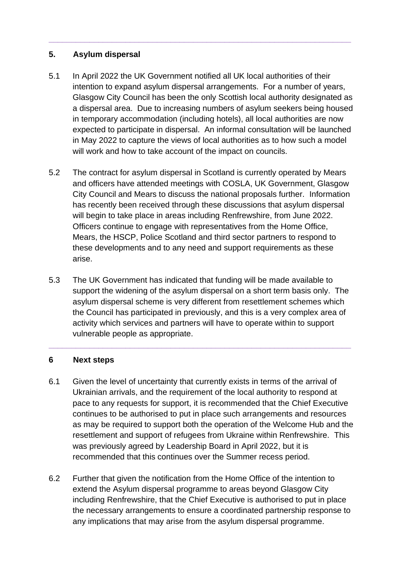### **5. Asylum dispersal**

5.1 In April 2022 the UK Government notified all UK local authorities of their intention to expand asylum dispersal arrangements. For a number of years, Glasgow City Council has been the only Scottish local authority designated as a dispersal area. Due to increasing numbers of asylum seekers being housed in temporary accommodation (including hotels), all local authorities are now expected to participate in dispersal. An informal consultation will be launched in May 2022 to capture the views of local authorities as to how such a model will work and how to take account of the impact on councils.

**\_\_\_\_\_\_\_\_\_\_\_\_\_\_\_\_\_\_\_\_\_\_\_\_\_\_\_\_\_\_\_\_\_\_\_\_\_\_\_\_\_\_\_\_\_\_\_\_\_\_\_\_\_\_\_\_\_\_\_\_\_\_\_\_\_\_\_** 

- 5.2 The contract for asylum dispersal in Scotland is currently operated by Mears and officers have attended meetings with COSLA, UK Government, Glasgow City Council and Mears to discuss the national proposals further. Information has recently been received through these discussions that asylum dispersal will begin to take place in areas including Renfrewshire, from June 2022. Officers continue to engage with representatives from the Home Office, Mears, the HSCP, Police Scotland and third sector partners to respond to these developments and to any need and support requirements as these arise.
- 5.3 The UK Government has indicated that funding will be made available to support the widening of the asylum dispersal on a short term basis only. The asylum dispersal scheme is very different from resettlement schemes which the Council has participated in previously, and this is a very complex area of activity which services and partners will have to operate within to support vulnerable people as appropriate.

**\_\_\_\_\_\_\_\_\_\_\_\_\_\_\_\_\_\_\_\_\_\_\_\_\_\_\_\_\_\_\_\_\_\_\_\_\_\_\_\_\_\_\_\_\_\_\_\_\_\_\_\_\_\_\_\_\_\_\_\_\_\_\_\_\_\_\_** 

#### **6 Next steps**

- 6.1 Given the level of uncertainty that currently exists in terms of the arrival of Ukrainian arrivals, and the requirement of the local authority to respond at pace to any requests for support, it is recommended that the Chief Executive continues to be authorised to put in place such arrangements and resources as may be required to support both the operation of the Welcome Hub and the resettlement and support of refugees from Ukraine within Renfrewshire. This was previously agreed by Leadership Board in April 2022, but it is recommended that this continues over the Summer recess period.
- 6.2 Further that given the notification from the Home Office of the intention to extend the Asylum dispersal programme to areas beyond Glasgow City including Renfrewshire, that the Chief Executive is authorised to put in place the necessary arrangements to ensure a coordinated partnership response to any implications that may arise from the asylum dispersal programme.